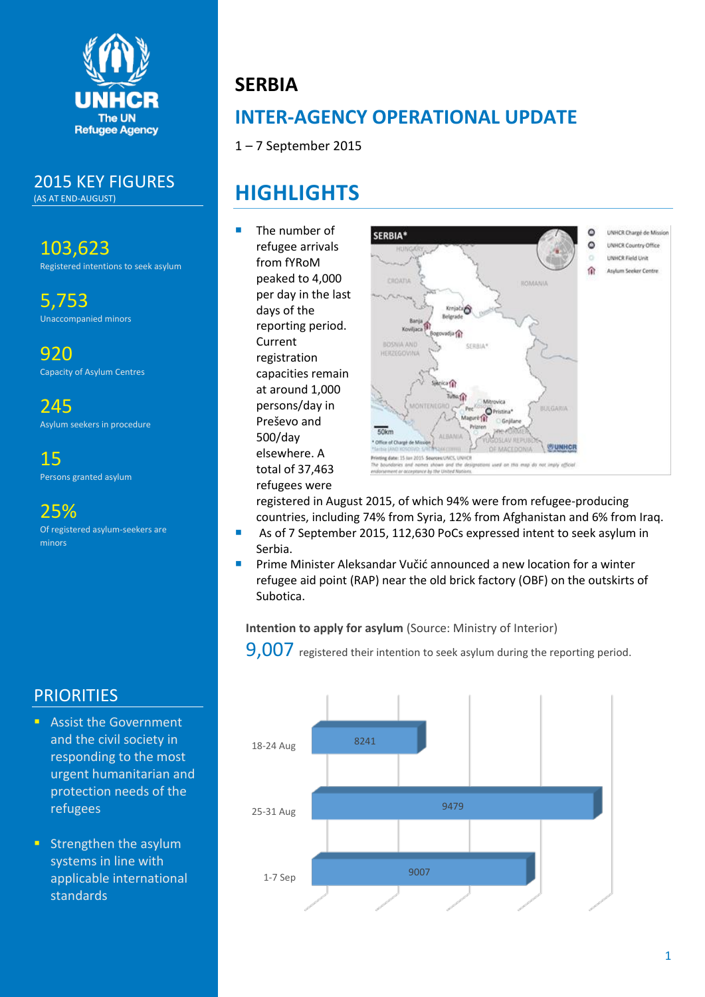

### 2015 KEY FIGURES

(AS AT END-AUGUST)

103,623 Registered intentions to seek asylum

5,753 Unaccompanied minors

920 Capacity of Asylum Centres

245 Asylum seekers in procedure

15 Persons granted asylum

25%

Of registered asylum-seekers are minors

## **PRIORITIES**

- **Assist the Government** and the civil society in responding to the most urgent humanitarian and protection needs of the refugees
- **Strengthen the asylum** systems in line with applicable international standards

# **SERBIA**

# **INTER-AGENCY OPERATIONAL UPDATE**

1 – 7 September 2015

# **HIGHLIGHTS**

 The number of refugee arrivals from fYRoM peaked to 4,000 per day in the last days of the reporting period. Current registration capacities remain at around 1,000 persons/day in Preševo and 500/day elsewhere. A total of 37,463 refugees were



registered in August 2015, of which 94% were from refugee-producing countries, including 74% from Syria, 12% from Afghanistan and 6% from Iraq.

- As of 7 September 2015, 112,630 PoCs expressed intent to seek asylum in Serbia.
- Prime Minister Aleksandar Vučić announced a new location for a winter refugee aid point (RAP) near the old brick factory (OBF) on the outskirts of Subotica.

### **Intention to apply for asylum** (Source: Ministry of Interior)

9.007 registered their intention to seek asylum during the reporting period.

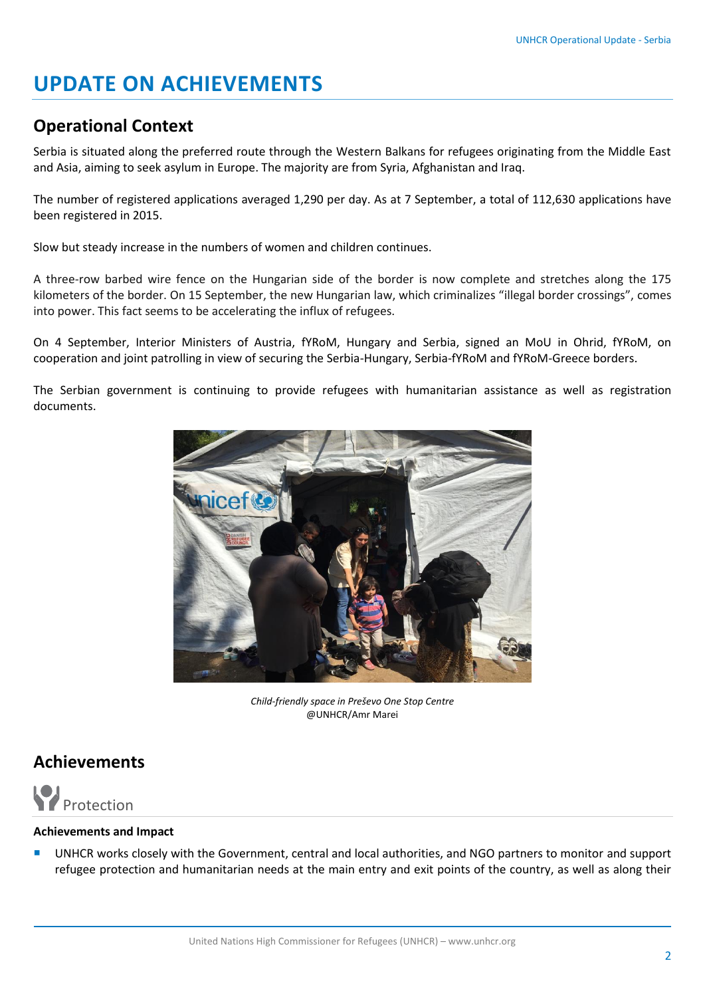# **UPDATE ON ACHIEVEMENTS**

### **Operational Context**

Serbia is situated along the preferred route through the Western Balkans for refugees originating from the Middle East and Asia, aiming to seek asylum in Europe. The majority are from Syria, Afghanistan and Iraq.

The number of registered applications averaged 1,290 per day. As at 7 September, a total of 112,630 applications have been registered in 2015.

Slow but steady increase in the numbers of women and children continues.

A three-row barbed wire fence on the Hungarian side of the border is now complete and stretches along the 175 kilometers of the border. On 15 September, the new Hungarian law, which criminalizes "illegal border crossings", comes into power. This fact seems to be accelerating the influx of refugees.

On 4 September, Interior Ministers of Austria, fYRoM, Hungary and Serbia, signed an MoU in Ohrid, fYRoM, on cooperation and joint patrolling in view of securing the Serbia-Hungary, Serbia-fYRoM and fYRoM-Greece borders.

The Serbian government is continuing to provide refugees with humanitarian assistance as well as registration documents.



*Child-friendly space in Preševo One Stop Centre* @UNHCR/Amr Marei

## **Achievements**



#### **Achievements and Impact**

 UNHCR works closely with the Government, central and local authorities, and NGO partners to monitor and support refugee protection and humanitarian needs at the main entry and exit points of the country, as well as along their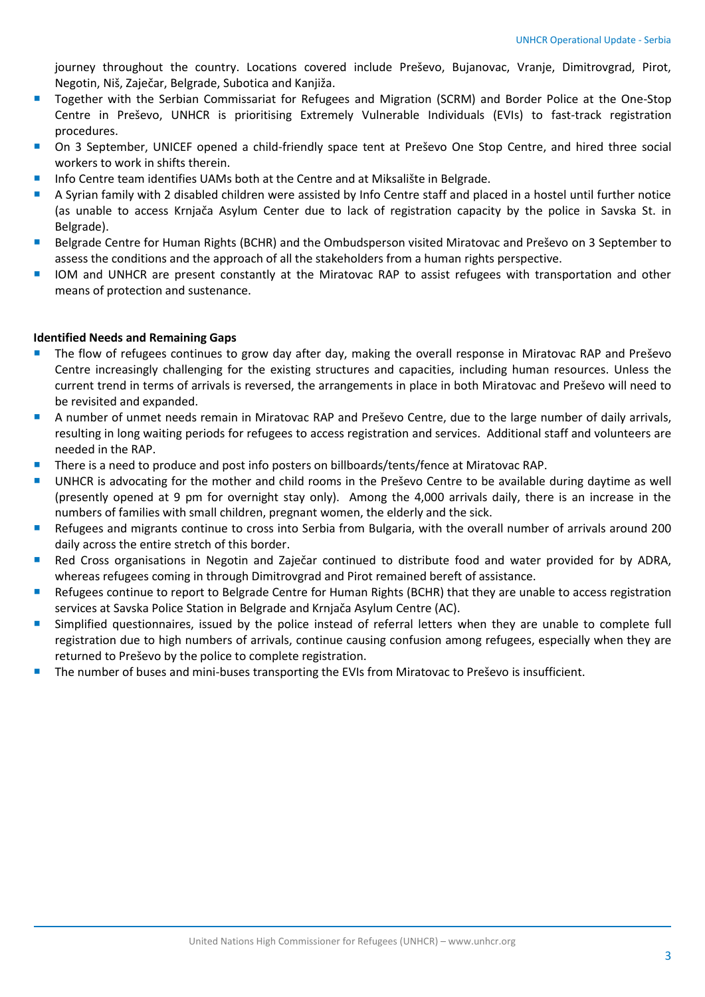journey throughout the country. Locations covered include Preševo, Bujanovac, Vranje, Dimitrovgrad, Pirot, Negotin, Niš, Zaječar, Belgrade, Subotica and Kanjiža.

- Together with the Serbian Commissariat for Refugees and Migration (SCRM) and Border Police at the One-Stop Centre in Preševo, UNHCR is prioritising Extremely Vulnerable Individuals (EVIs) to fast-track registration procedures.
- On 3 September, UNICEF opened a child-friendly space tent at Preševo One Stop Centre, and hired three social workers to work in shifts therein.
- Info Centre team identifies UAMs both at the Centre and at Miksalište in Belgrade.
- A Syrian family with 2 disabled children were assisted by Info Centre staff and placed in a hostel until further notice (as unable to access Krnjača Asylum Center due to lack of registration capacity by the police in Savska St. in Belgrade).
- Belgrade Centre for Human Rights (BCHR) and the Ombudsperson visited Miratovac and Preševo on 3 September to assess the conditions and the approach of all the stakeholders from a human rights perspective.
- IOM and UNHCR are present constantly at the Miratovac RAP to assist refugees with transportation and other means of protection and sustenance.

#### **Identified Needs and Remaining Gaps**

- The flow of refugees continues to grow day after day, making the overall response in Miratovac RAP and Preševo Centre increasingly challenging for the existing structures and capacities, including human resources. Unless the current trend in terms of arrivals is reversed, the arrangements in place in both Miratovac and Preševo will need to be revisited and expanded.
- A number of unmet needs remain in Miratovac RAP and Preševo Centre, due to the large number of daily arrivals, resulting in long waiting periods for refugees to access registration and services. Additional staff and volunteers are needed in the RAP.
- There is a need to produce and post info posters on billboards/tents/fence at Miratovac RAP.
- UNHCR is advocating for the mother and child rooms in the Preševo Centre to be available during daytime as well (presently opened at 9 pm for overnight stay only). Among the 4,000 arrivals daily, there is an increase in the numbers of families with small children, pregnant women, the elderly and the sick.
- Refugees and migrants continue to cross into Serbia from Bulgaria, with the overall number of arrivals around 200 daily across the entire stretch of this border.
- **Red Cross organisations in Negotin and Zaječar continued to distribute food and water provided for by ADRA,** whereas refugees coming in through Dimitrovgrad and Pirot remained bereft of assistance.
- Refugees continue to report to Belgrade Centre for Human Rights (BCHR) that they are unable to access registration services at Savska Police Station in Belgrade and Krnjača Asylum Centre (AC).
- **Simplified questionnaires, issued by the police instead of referral letters when they are unable to complete full** registration due to high numbers of arrivals, continue causing confusion among refugees, especially when they are returned to Preševo by the police to complete registration.
- The number of buses and mini-buses transporting the EVIs from Miratovac to Preševo is insufficient.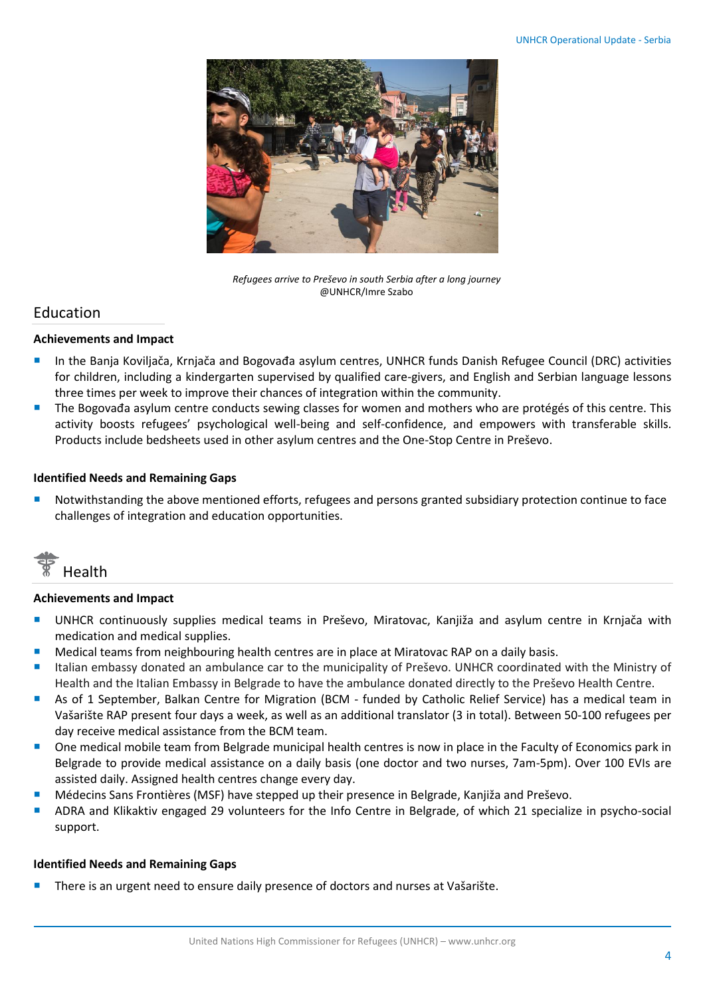

*Refugees arrive to Preševo in south Serbia after a long journey* @UNHCR/Imre Szabo

### Education

#### **Achievements and Impact**

- In the Banja Koviljača, Krnjača and Bogovađa asylum centres, UNHCR funds Danish Refugee Council (DRC) activities for children, including a kindergarten supervised by qualified care-givers, and English and Serbian language lessons three times per week to improve their chances of integration within the community.
- The Bogovađa asylum centre conducts sewing classes for women and mothers who are protégés of this centre. This activity boosts refugees' psychological well-being and self-confidence, and empowers with transferable skills. Products include bedsheets used in other asylum centres and the One-Stop Centre in Preševo.

#### **Identified Needs and Remaining Gaps**

 Notwithstanding the above mentioned efforts, refugees and persons granted subsidiary protection continue to face challenges of integration and education opportunities.



#### **Achievements and Impact**

- **UNHCR** continuously supplies medical teams in Preševo, Miratovac, Kanjiža and asylum centre in Krnjača with medication and medical supplies.
- Medical teams from neighbouring health centres are in place at Miratovac RAP on a daily basis.
- Italian embassy donated an ambulance car to the municipality of Preševo. UNHCR coordinated with the Ministry of Health and the Italian Embassy in Belgrade to have the ambulance donated directly to the Preševo Health Centre.
- As of 1 September, Balkan Centre for Migration (BCM funded by Catholic Relief Service) has a medical team in Vašarište RAP present four days a week, as well as an additional translator (3 in total). Between 50-100 refugees per day receive medical assistance from the BCM team.
- **Demonmedical mobile team from Belgrade municipal health centres is now in place in the Faculty of Economics park in** Belgrade to provide medical assistance on a daily basis (one doctor and two nurses, 7am-5pm). Over 100 EVIs are assisted daily. Assigned health centres change every day.
- Médecins Sans Frontières (MSF) have stepped up their presence in Belgrade, Kanjiža and Preševo.
- ADRA and Klikaktiv engaged 29 volunteers for the Info Centre in Belgrade, of which 21 specialize in psycho-social support.

#### **Identified Needs and Remaining Gaps**

There is an urgent need to ensure daily presence of doctors and nurses at Vašarište.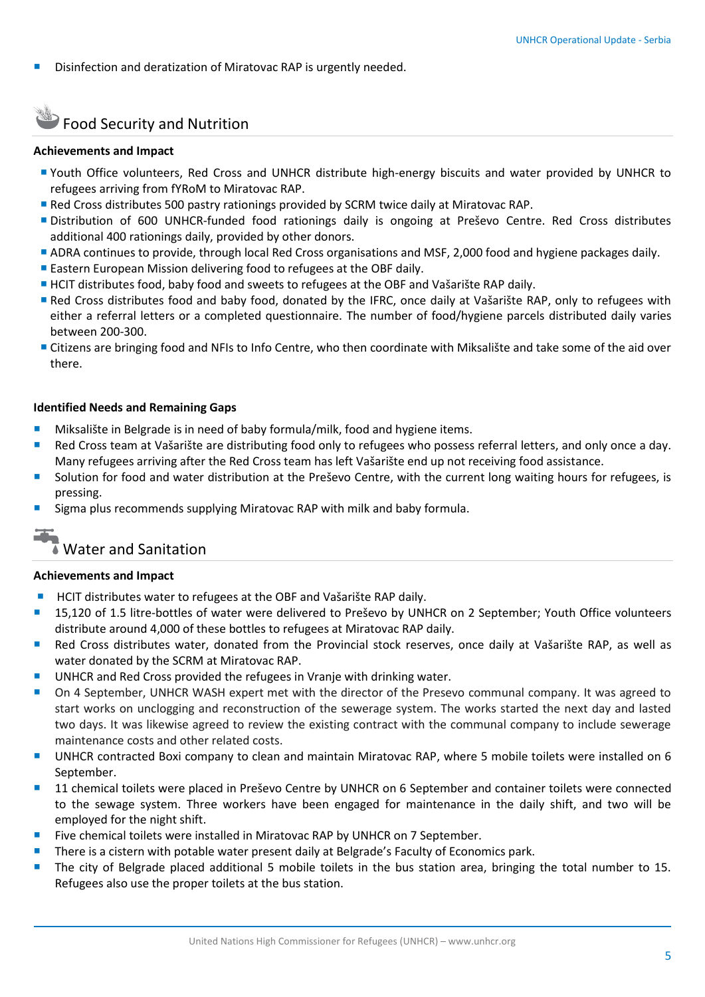Disinfection and deratization of Miratovac RAP is urgently needed.

## **SEPTEM** Food Security and Nutrition

#### **Achievements and Impact**

- Youth Office volunteers, Red Cross and UNHCR distribute high-energy biscuits and water provided by UNHCR to refugees arriving from fYRoM to Miratovac RAP.
- Red Cross distributes 500 pastry rationings provided by SCRM twice daily at Miratovac RAP.
- Distribution of 600 UNHCR-funded food rationings daily is ongoing at Preševo Centre. Red Cross distributes additional 400 rationings daily, provided by other donors.
- ADRA continues to provide, through local Red Cross organisations and MSF, 2,000 food and hygiene packages daily.
- Eastern European Mission delivering food to refugees at the OBF daily.
- HCIT distributes food, baby food and sweets to refugees at the OBF and Vašarište RAP daily.
- Red Cross distributes food and baby food, donated by the IFRC, once daily at Vašarište RAP, only to refugees with either a referral letters or a completed questionnaire. The number of food/hygiene parcels distributed daily varies between 200-300.
- Citizens are bringing food and NFIs to Info Centre, who then coordinate with Miksalište and take some of the aid over there.

#### **Identified Needs and Remaining Gaps**

- **Miksalište in Belgrade is in need of baby formula/milk, food and hygiene items.**
- Red Cross team at Vašarište are distributing food only to refugees who possess referral letters, and only once a day. Many refugees arriving after the Red Cross team has left Vašarište end up not receiving food assistance.
- Solution for food and water distribution at the Preševo Centre, with the current long waiting hours for refugees, is pressing.
- Sigma plus recommends supplying Miratovac RAP with milk and baby formula.

### ■ Water and Sanitation

#### **Achievements and Impact**

- HCIT distributes water to refugees at the OBF and Vašarište RAP daily.
- **15,120 of 1.5 litre-bottles of water were delivered to Preševo by UNHCR on 2 September; Youth Office volunteers** distribute around 4,000 of these bottles to refugees at Miratovac RAP daily.
- Red Cross distributes water, donated from the Provincial stock reserves, once daily at Vašarište RAP, as well as water donated by the SCRM at Miratovac RAP.
- UNHCR and Red Cross provided the refugees in Vranje with drinking water.
- On 4 September, UNHCR WASH expert met with the director of the Presevo communal company. It was agreed to start works on unclogging and reconstruction of the sewerage system. The works started the next day and lasted two days. It was likewise agreed to review the existing contract with the communal company to include sewerage maintenance costs and other related costs.
- UNHCR contracted Boxi company to clean and maintain Miratovac RAP, where 5 mobile toilets were installed on 6 September.
- **11** chemical toilets were placed in Preševo Centre by UNHCR on 6 September and container toilets were connected to the sewage system. Three workers have been engaged for maintenance in the daily shift, and two will be employed for the night shift.
- Five chemical toilets were installed in Miratovac RAP by UNHCR on 7 September.
- There is a cistern with potable water present daily at Belgrade's Faculty of Economics park.
- The city of Belgrade placed additional 5 mobile toilets in the bus station area, bringing the total number to 15. Refugees also use the proper toilets at the bus station.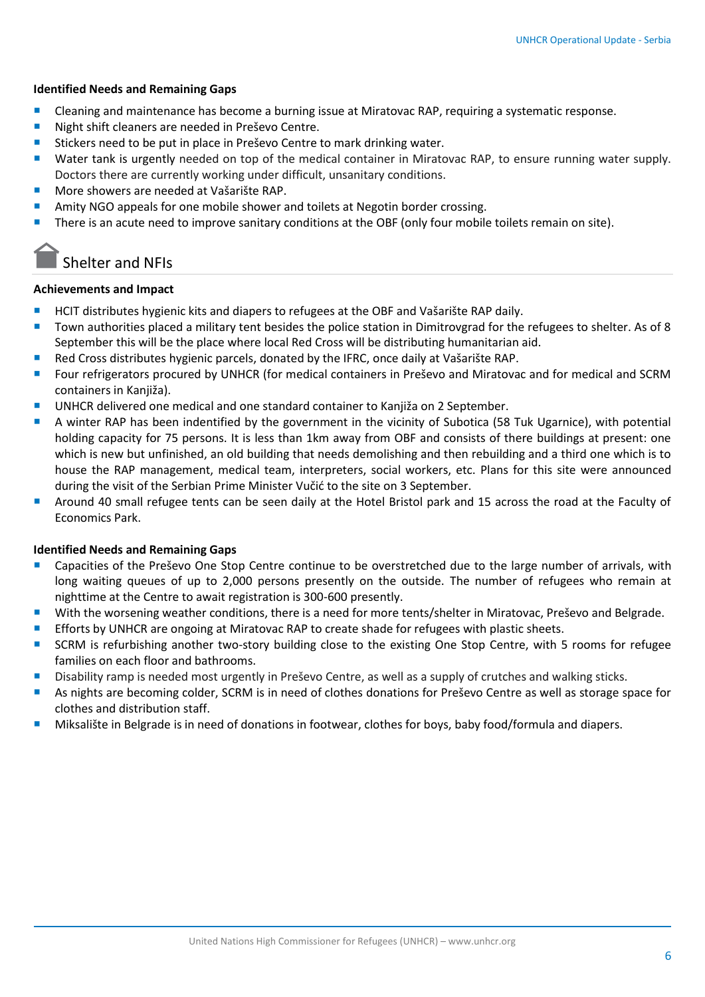#### **Identified Needs and Remaining Gaps**

- Cleaning and maintenance has become a burning issue at Miratovac RAP, requiring a systematic response.
- Night shift cleaners are needed in Preševo Centre.
- Stickers need to be put in place in Preševo Centre to mark drinking water.
- **Water tank is urgently needed on top of the medical container in Miratovac RAP, to ensure running water supply.** Doctors there are currently working under difficult, unsanitary conditions.
- **More showers are needed at Vašarište RAP.**
- Amity NGO appeals for one mobile shower and toilets at Negotin border crossing.
- There is an acute need to improve sanitary conditions at the OBF (only four mobile toilets remain on site).

## Shelter and NFIs

#### **Achievements and Impact**

- HCIT distributes hygienic kits and diapers to refugees at the OBF and Vašarište RAP daily.
- Town authorities placed a military tent besides the police station in Dimitrovgrad for the refugees to shelter. As of 8 September this will be the place where local Red Cross will be distributing humanitarian aid.
- Red Cross distributes hygienic parcels, donated by the IFRC, once daily at Vašarište RAP.
- **F** Four refrigerators procured by UNHCR (for medical containers in Preševo and Miratovac and for medical and SCRM containers in Kanjiža).
- UNHCR delivered one medical and one standard container to Kanjiža on 2 September.
- A winter RAP has been indentified by the government in the vicinity of Subotica (58 Tuk Ugarnice), with potential holding capacity for 75 persons. It is less than 1km away from OBF and consists of there buildings at present: one which is new but unfinished, an old building that needs demolishing and then rebuilding and a third one which is to house the RAP management, medical team, interpreters, social workers, etc. Plans for this site were announced during the visit of the Serbian Prime Minister Vučić to the site on 3 September.
- Around 40 small refugee tents can be seen daily at the Hotel Bristol park and 15 across the road at the Faculty of Economics Park.

#### **Identified Needs and Remaining Gaps**

- Capacities of the Preševo One Stop Centre continue to be overstretched due to the large number of arrivals, with long waiting queues of up to 2,000 persons presently on the outside. The number of refugees who remain at nighttime at the Centre to await registration is 300-600 presently.
- With the worsening weather conditions, there is a need for more tents/shelter in Miratovac, Preševo and Belgrade.
- Efforts by UNHCR are ongoing at Miratovac RAP to create shade for refugees with plastic sheets.
- **SCRM** is refurbishing another two-story building close to the existing One Stop Centre, with 5 rooms for refugee families on each floor and bathrooms.
- Disability ramp is needed most urgently in Preševo Centre, as well as a supply of crutches and walking sticks.
- As nights are becoming colder, SCRM is in need of clothes donations for Preševo Centre as well as storage space for clothes and distribution staff.
- Miksalište in Belgrade is in need of donations in footwear, clothes for boys, baby food/formula and diapers.